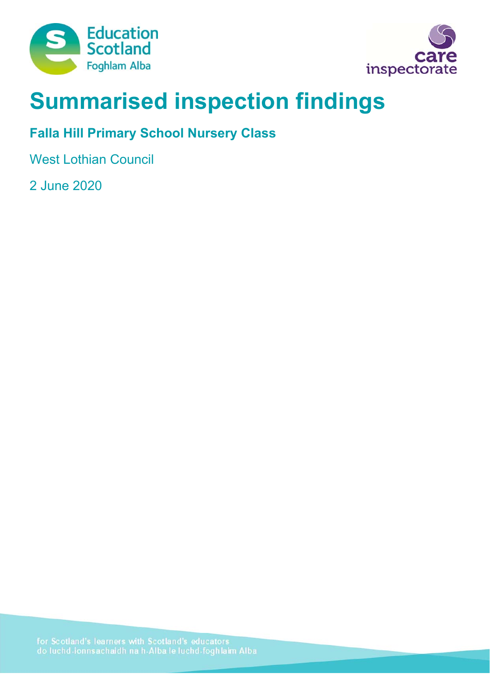



# **Summarised inspection findings**

# **Falla Hill Primary School Nursery Class**

West Lothian Council

2 June 2020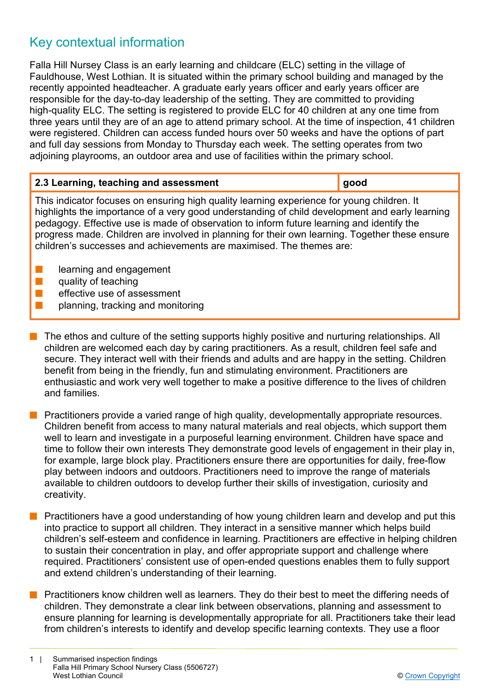# Key contextual information

Falla Hill Nursey Class is an early learning and childcare (ELC) setting in the village of Fauldhouse, West Lothian. It is situated within the primary school building and managed by the recently appointed headteacher. A graduate early years officer and early years officer are responsible for the day-to-day leadership of the setting. They are committed to providing high-quality ELC. The setting is registered to provide ELC for 40 children at any one time from three years until they are of an age to attend primary school. At the time of inspection, 41 children were registered. Children can access funded hours over 50 weeks and have the options of part and full day sessions from Monday to Thursday each week. The setting operates from two adjoining playrooms, an outdoor area and use of facilities within the primary school.

| 2.3 Learning, teaching and assessment                                                                                                                                                                                                                                                                                                                                                                                                                               | good |
|---------------------------------------------------------------------------------------------------------------------------------------------------------------------------------------------------------------------------------------------------------------------------------------------------------------------------------------------------------------------------------------------------------------------------------------------------------------------|------|
| This indicator focuses on ensuring high quality learning experience for young children. It<br>highlights the importance of a very good understanding of child development and early learning<br>pedagogy. Effective use is made of observation to inform future learning and identify the<br>progress made. Children are involved in planning for their own learning. Together these ensure<br>children's successes and achievements are maximised. The themes are: |      |
| learning and engagement                                                                                                                                                                                                                                                                                                                                                                                                                                             |      |

- quality of teaching
- effective use of assessment
- planning, tracking and monitoring
- $\blacksquare$  The ethos and culture of the setting supports highly positive and nurturing relationships. All children are welcomed each day by caring practitioners. As a result, children feel safe and secure. They interact well with their friends and adults and are happy in the setting. Children benefit from being in the friendly, fun and stimulating environment. Practitioners are enthusiastic and work very well together to make a positive difference to the lives of children and families.
- Practitioners provide a varied range of high quality, developmentally appropriate resources. Children benefit from access to many natural materials and real objects, which support them well to learn and investigate in a purposeful learning environment. Children have space and time to follow their own interests They demonstrate good levels of engagement in their play in, for example, large block play. Practitioners ensure there are opportunities for daily, free-flow play between indoors and outdoors. Practitioners need to improve the range of materials available to children outdoors to develop further their skills of investigation, curiosity and creativity.
- Practitioners have a good understanding of how young children learn and develop and put this into practice to support all children. They interact in a sensitive manner which helps build children's self-esteem and confidence in learning. Practitioners are effective in helping children to sustain their concentration in play, and offer appropriate support and challenge where required. Practitioners' consistent use of open-ended questions enables them to fully support and extend children's understanding of their learning.
- Practitioners know children well as learners. They do their best to meet the differing needs of children. They demonstrate a clear link between observations, planning and assessment to ensure planning for learning is developmentally appropriate for all. Practitioners take their lead from children's interests to identify and develop specific learning contexts. They use a floor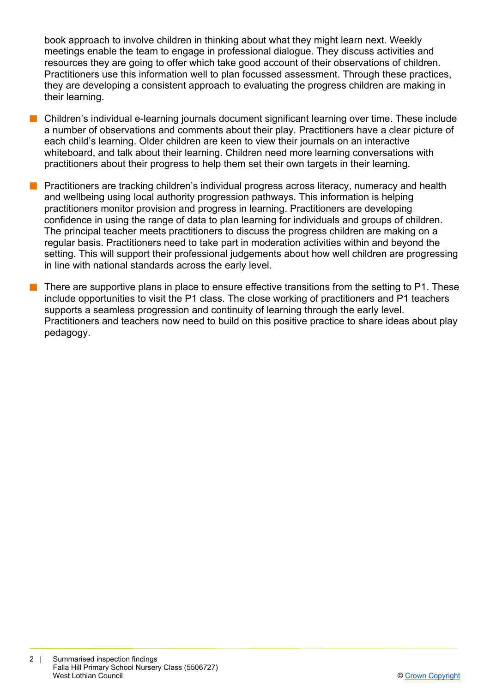book approach to involve children in thinking about what they might learn next. Weekly meetings enable the team to engage in professional dialogue. They discuss activities and resources they are going to offer which take good account of their observations of children. Practitioners use this information well to plan focussed assessment. Through these practices, they are developing a consistent approach to evaluating the progress children are making in their learning.

- Children's individual e-learning journals document significant learning over time. These include a number of observations and comments about their play. Practitioners have a clear picture of each child's learning. Older children are keen to view their journals on an interactive whiteboard, and talk about their learning. Children need more learning conversations with practitioners about their progress to help them set their own targets in their learning.
- **n** Practitioners are tracking children's individual progress across literacy, numeracy and health and wellbeing using local authority progression pathways. This information is helping practitioners monitor provision and progress in learning. Practitioners are developing confidence in using the range of data to plan learning for individuals and groups of children. The principal teacher meets practitioners to discuss the progress children are making on a regular basis. Practitioners need to take part in moderation activities within and beyond the setting. This will support their professional judgements about how well children are progressing in line with national standards across the early level.
- There are supportive plans in place to ensure effective transitions from the setting to P1. These include opportunities to visit the P1 class. The close working of practitioners and P1 teachers supports a seamless progression and continuity of learning through the early level. Practitioners and teachers now need to build on this positive practice to share ideas about play pedagogy.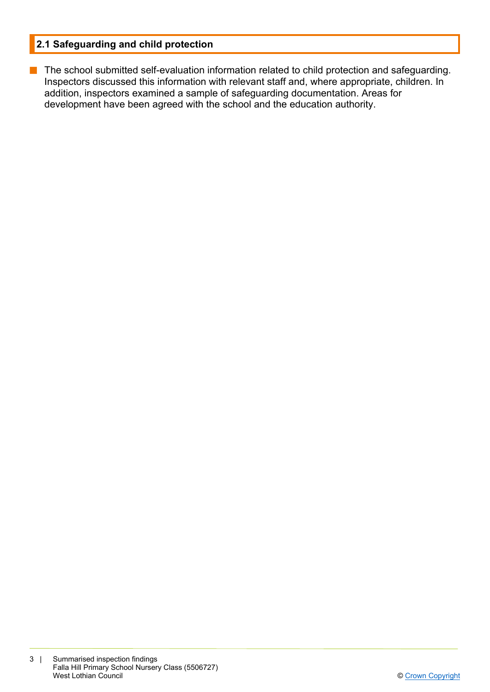## **2.1 Safeguarding and child protection**

**n** The school submitted self-evaluation information related to child protection and safeguarding. Inspectors discussed this information with relevant staff and, where appropriate, children. In addition, inspectors examined a sample of safeguarding documentation. Areas for development have been agreed with the school and the education authority.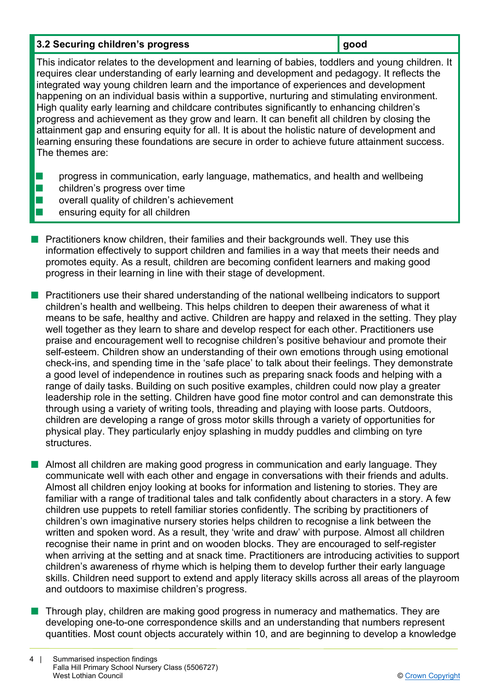#### **3.2 Securing children's progress and a set of a set of a set of a set of a set of a set of a set of a set of a set of a set of a set of a set of a set of a set of a set of a set of a set of a set of a set of a set of a se**

This indicator relates to the development and learning of babies, toddlers and young children. It requires clear understanding of early learning and development and pedagogy. It reflects the integrated way young children learn and the importance of experiences and development happening on an individual basis within a supportive, nurturing and stimulating environment. High quality early learning and childcare contributes significantly to enhancing children's progress and achievement as they grow and learn. It can benefit all children by closing the attainment gap and ensuring equity for all. It is about the holistic nature of development and learning ensuring these foundations are secure in order to achieve future attainment success. The themes are:

- **n** progress in communication, early language, mathematics, and health and wellbeing
- $\blacksquare$  children's progress over time
- $\blacksquare$  overall quality of children's achievement
- n ensuring equity for all children
- n Practitioners know children, their families and their backgrounds well. They use this information effectively to support children and families in a way that meets their needs and promotes equity. As a result, children are becoming confident learners and making good progress in their learning in line with their stage of development.
- n Practitioners use their shared understanding of the national wellbeing indicators to support children's health and wellbeing. This helps children to deepen their awareness of what it means to be safe, healthy and active. Children are happy and relaxed in the setting. They play well together as they learn to share and develop respect for each other. Practitioners use praise and encouragement well to recognise children's positive behaviour and promote their self-esteem. Children show an understanding of their own emotions through using emotional check-ins, and spending time in the 'safe place' to talk about their feelings. They demonstrate a good level of independence in routines such as preparing snack foods and helping with a range of daily tasks. Building on such positive examples, children could now play a greater leadership role in the setting. Children have good fine motor control and can demonstrate this through using a variety of writing tools, threading and playing with loose parts. Outdoors, children are developing a range of gross motor skills through a variety of opportunities for physical play. They particularly enjoy splashing in muddy puddles and climbing on tyre structures.
- **n** Almost all children are making good progress in communication and early language. They communicate well with each other and engage in conversations with their friends and adults. Almost all children enjoy looking at books for information and listening to stories. They are familiar with a range of traditional tales and talk confidently about characters in a story. A few children use puppets to retell familiar stories confidently. The scribing by practitioners of children's own imaginative nursery stories helps children to recognise a link between the written and spoken word. As a result, they 'write and draw' with purpose. Almost all children recognise their name in print and on wooden blocks. They are encouraged to self-register when arriving at the setting and at snack time. Practitioners are introducing activities to support children's awareness of rhyme which is helping them to develop further their early language skills. Children need support to extend and apply literacy skills across all areas of the playroom and outdoors to maximise children's progress.
- Through play, children are making good progress in numeracy and mathematics. They are developing one-to-one correspondence skills and an understanding that numbers represent quantities. Most count objects accurately within 10, and are beginning to develop a knowledge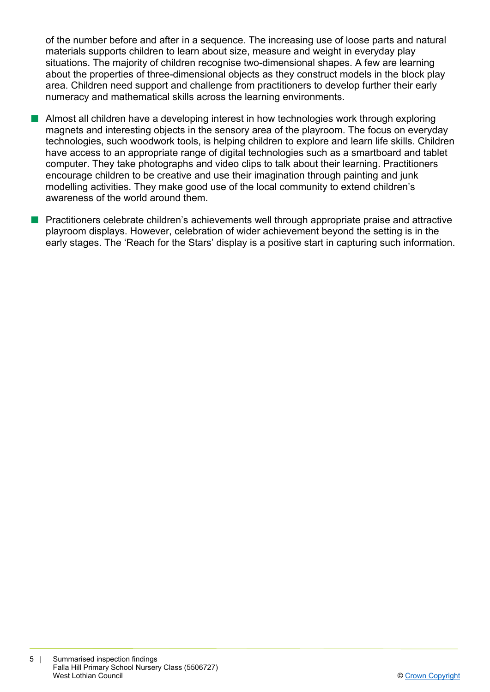of the number before and after in a sequence. The increasing use of loose parts and natural materials supports children to learn about size, measure and weight in everyday play situations. The majority of children recognise two-dimensional shapes. A few are learning about the properties of three-dimensional objects as they construct models in the block play area. Children need support and challenge from practitioners to develop further their early numeracy and mathematical skills across the learning environments.

- Almost all children have a developing interest in how technologies work through exploring magnets and interesting objects in the sensory area of the playroom. The focus on everyday technologies, such woodwork tools, is helping children to explore and learn life skills. Children have access to an appropriate range of digital technologies such as a smartboard and tablet computer. They take photographs and video clips to talk about their learning. Practitioners encourage children to be creative and use their imagination through painting and junk modelling activities. They make good use of the local community to extend children's awareness of the world around them.
- $\blacksquare$  Practitioners celebrate children's achievements well through appropriate praise and attractive playroom displays. However, celebration of wider achievement beyond the setting is in the early stages. The 'Reach for the Stars' display is a positive start in capturing such information.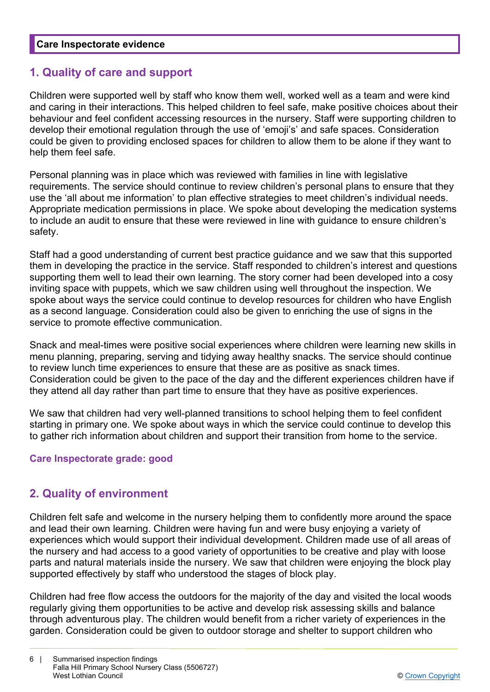## **1. Quality of care and support**

Children were supported well by staff who know them well, worked well as a team and were kind and caring in their interactions. This helped children to feel safe, make positive choices about their behaviour and feel confident accessing resources in the nursery. Staff were supporting children to develop their emotional regulation through the use of 'emoji's' and safe spaces. Consideration could be given to providing enclosed spaces for children to allow them to be alone if they want to help them feel safe.

Personal planning was in place which was reviewed with families in line with legislative requirements. The service should continue to review children's personal plans to ensure that they use the 'all about me information' to plan effective strategies to meet children's individual needs. Appropriate medication permissions in place. We spoke about developing the medication systems to include an audit to ensure that these were reviewed in line with guidance to ensure children's safety.

Staff had a good understanding of current best practice guidance and we saw that this supported them in developing the practice in the service. Staff responded to children's interest and questions supporting them well to lead their own learning. The story corner had been developed into a cosy inviting space with puppets, which we saw children using well throughout the inspection. We spoke about ways the service could continue to develop resources for children who have English as a second language. Consideration could also be given to enriching the use of signs in the service to promote effective communication.

Snack and meal-times were positive social experiences where children were learning new skills in menu planning, preparing, serving and tidying away healthy snacks. The service should continue to review lunch time experiences to ensure that these are as positive as snack times. Consideration could be given to the pace of the day and the different experiences children have if they attend all day rather than part time to ensure that they have as positive experiences.

We saw that children had very well-planned transitions to school helping them to feel confident starting in primary one. We spoke about ways in which the service could continue to develop this to gather rich information about children and support their transition from home to the service.

### **Care Inspectorate grade: good**

## **2. Quality of environment**

Children felt safe and welcome in the nursery helping them to confidently more around the space and lead their own learning. Children were having fun and were busy enjoying a variety of experiences which would support their individual development. Children made use of all areas of the nursery and had access to a good variety of opportunities to be creative and play with loose parts and natural materials inside the nursery. We saw that children were enjoying the block play supported effectively by staff who understood the stages of block play.

Children had free flow access the outdoors for the majority of the day and visited the local woods regularly giving them opportunities to be active and develop risk assessing skills and balance through adventurous play. The children would benefit from a richer variety of experiences in the garden. Consideration could be given to outdoor storage and shelter to support children who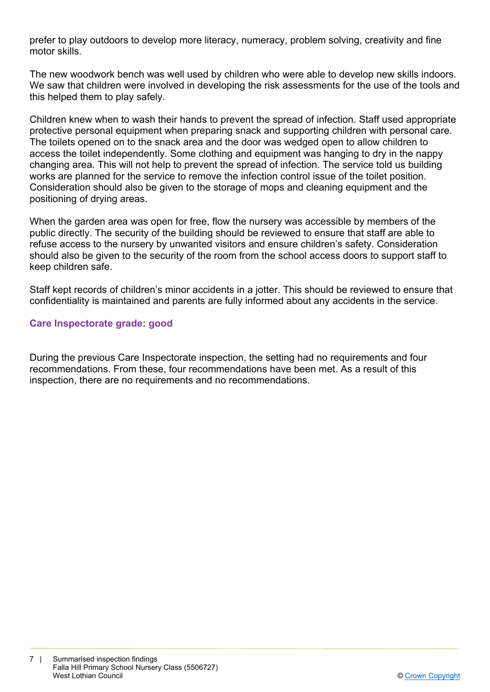prefer to play outdoors to develop more literacy, numeracy, problem solving, creativity and fine motor skills.

The new woodwork bench was well used by children who were able to develop new skills indoors. We saw that children were involved in developing the risk assessments for the use of the tools and this helped them to play safely.

Children knew when to wash their hands to prevent the spread of infection. Staff used appropriate protective personal equipment when preparing snack and supporting children with personal care. The toilets opened on to the snack area and the door was wedged open to allow children to access the toilet independently. Some clothing and equipment was hanging to dry in the nappy changing area. This will not help to prevent the spread of infection. The service told us building works are planned for the service to remove the infection control issue of the toilet position. Consideration should also be given to the storage of mops and cleaning equipment and the positioning of drying areas.

When the garden area was open for free, flow the nursery was accessible by members of the public directly. The security of the building should be reviewed to ensure that staff are able to refuse access to the nursery by unwanted visitors and ensure children's safety. Consideration should also be given to the security of the room from the school access doors to support staff to keep children safe.

Staff kept records of children's minor accidents in a jotter. This should be reviewed to ensure that confidentiality is maintained and parents are fully informed about any accidents in the service.

#### **Care Inspectorate grade: good**

During the previous Care Inspectorate inspection, the setting had no requirements and four recommendations. From these, four recommendations have been met. As a result of this inspection, there are no requirements and no recommendations.